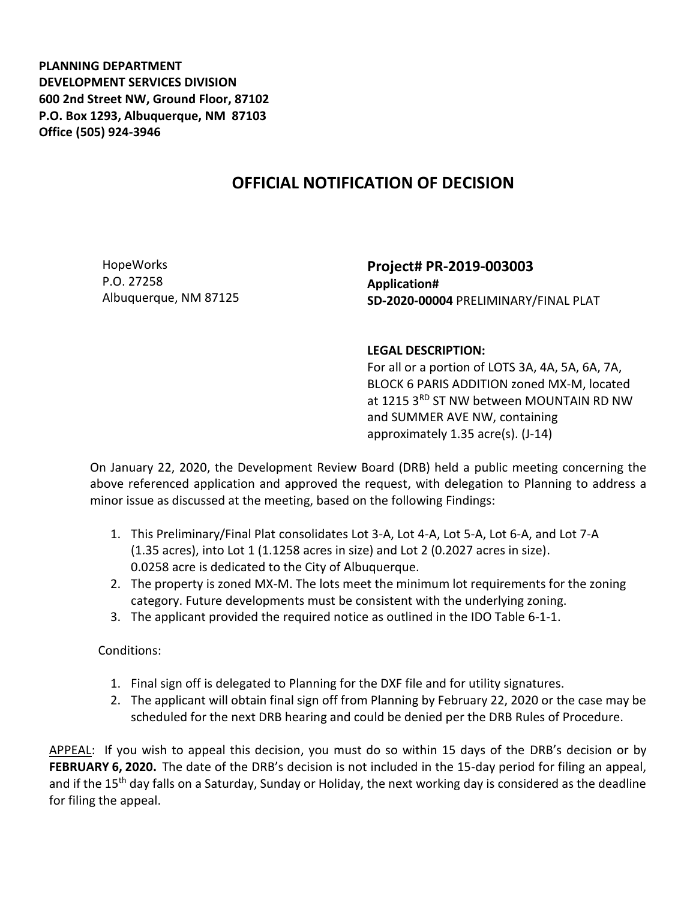**PLANNING DEPARTMENT DEVELOPMENT SERVICES DIVISION 600 2nd Street NW, Ground Floor, 87102 P.O. Box 1293, Albuquerque, NM 87103 Office (505) 924-3946** 

## **OFFICIAL NOTIFICATION OF DECISION**

HopeWorks P.O. 27258 Albuquerque, NM 87125 **Project# PR-2019-003003 Application# SD-2020-00004** PRELIMINARY/FINAL PLAT

## **LEGAL DESCRIPTION:**

For all or a portion of LOTS 3A, 4A, 5A, 6A, 7A, BLOCK 6 PARIS ADDITION zoned MX-M, located at 1215 3RD ST NW between MOUNTAIN RD NW and SUMMER AVE NW, containing approximately 1.35 acre(s). (J-14)

On January 22, 2020, the Development Review Board (DRB) held a public meeting concerning the above referenced application and approved the request, with delegation to Planning to address a minor issue as discussed at the meeting, based on the following Findings:

- 1. This Preliminary/Final Plat consolidates Lot 3-A, Lot 4-A, Lot 5-A, Lot 6-A, and Lot 7-A (1.35 acres), into Lot 1 (1.1258 acres in size) and Lot 2 (0.2027 acres in size). 0.0258 acre is dedicated to the City of Albuquerque.
- 2. The property is zoned MX-M. The lots meet the minimum lot requirements for the zoning category. Future developments must be consistent with the underlying zoning.
- 3. The applicant provided the required notice as outlined in the IDO Table 6-1-1.

Conditions:

- 1. Final sign off is delegated to Planning for the DXF file and for utility signatures.
- 2. The applicant will obtain final sign off from Planning by February 22, 2020 or the case may be scheduled for the next DRB hearing and could be denied per the DRB Rules of Procedure.

APPEAL: If you wish to appeal this decision, you must do so within 15 days of the DRB's decision or by **FEBRUARY 6, 2020.** The date of the DRB's decision is not included in the 15-day period for filing an appeal, and if the 15<sup>th</sup> day falls on a Saturday, Sunday or Holiday, the next working day is considered as the deadline for filing the appeal.